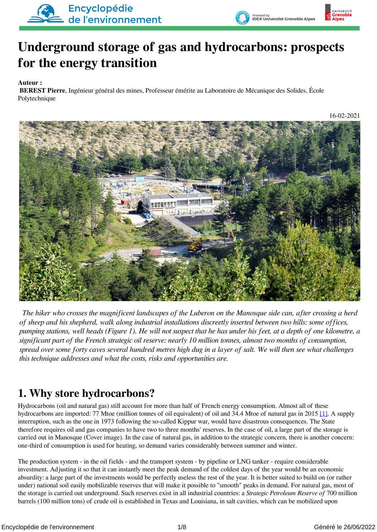



# **Underground storage of gas and hydrocarbons: prospects for the energy transition**

**Auteur :**

 **BEREST Pierre**, Ingénieur général des mines, Professeur émérite au Laboratoire de Mécanique des Solides, École Polytechnique

16-02-2021



*The hiker who crosses the magnificent landscapes of the Luberon on the Manosque side can, after crossing a herd of sheep and his shepherd, walk along industrial installations discreetly inserted between two hills: some offices, pumping stations, well heads (Figure 1). He will not suspect that he has under his feet, at a depth of one kilometre, a significant part of the French strategic oil reserve: nearly 10 million tonnes, almost two months of consumption, spread over some forty caves several hundred metres high dug in a layer of salt. We will then see what challenges this technique addresses and what the costs, risks and opportunities are.*

## **1. Why store hydrocarbons?**

<span id="page-0-0"></span>Hydrocarbons (oil and natural gas) still account for more than half of French energy consumption. Almost all of these hydrocarbons are imported: 77 Mtoe (million tonnes of oil equivalent) of oil and 34.4 Mtoe of natural gas in 2015 [\[1\]](#page-7-0). A supply interruption, such as the one in 1973 following the so-called Kippur war, would have disastrous consequences. The State therefore requires oil and gas companies to have two to three months' reserves. In the case of oil, a large part of the storage is carried out in Manosque (Cover image). In the case of natural gas, in addition to the strategic concern, there is another concern: one-third of consumption is used for heating, so demand varies considerably between summer and winter.

The production system - in the oil fields - and the transport system - by pipeline or LNG tanker - require considerable investment. Adjusting it so that it can instantly meet the peak demand of the coldest days of the year would be an economic absurdity: a large part of the investments would be perfectly useless the rest of the year. It is better suited to build on (or rather under) national soil easily mobilizable reserves that will make it possible to "smooth" peaks in demand. For natural gas, most of the storage is carried out underground. Such reserves exist in all industrial countries: a *Strategic Petroleum Reserve of* 700 million barrels (100 million tons) of crude oil is established in Texas and Louisiana, in salt cavities, which can be mobilized upon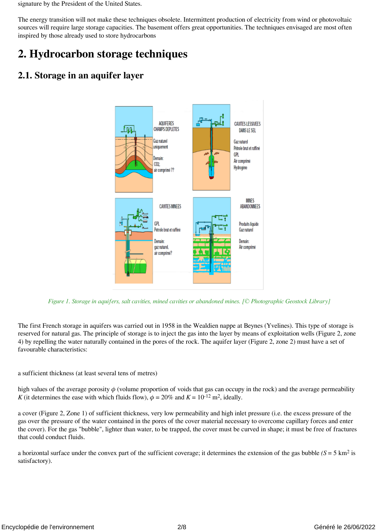signature by the President of the United States.

The energy transition will not make these techniques obsolete. Intermittent production of electricity from wind or photovoltaic sources will require large storage capacities. The basement offers great opportunities. The techniques envisaged are most often inspired by those already used to store hydrocarbons

### **2. Hydrocarbon storage techniques**

#### **2.1. Storage in an aquifer layer**



 *Figure 1. Storage in aquifers, salt cavities, mined cavities or abandoned mines. [© Photographic Geostock Library]*

The first French storage in aquifers was carried out in 1958 in the Wealdien nappe at Beynes (Yvelines). This type of storage is reserved for natural gas. The principle of storage is to inject the gas into the layer by means of exploitation wells (Figure 2, zone 4) by repelling the water naturally contained in the pores of the rock. The aquifer layer (Figure 2, zone 2) must have a set of favourable characteristics:

a sufficient thickness (at least several tens of metres)

high values of the average porosity *ϕ* (volume proportion of voids that gas can occupy in the rock) and the average permeability *K* (it determines the ease with which fluids flow),  $\phi = 20\%$  and  $K = 10^{-12}$  m<sup>2</sup>, ideally.

a cover (Figure 2, Zone 1) of sufficient thickness, very low permeability and high inlet pressure (i.e. the excess pressure of the gas over the pressure of the water contained in the pores of the cover material necessary to overcome capillary forces and enter the cover). For the gas "bubble", lighter than water, to be trapped, the cover must be curved in shape; it must be free of fractures that could conduct fluids.

a horizontal surface under the convex part of the sufficient coverage; it determines the extension of the gas bubble *(S* = 5 km2 is satisfactory).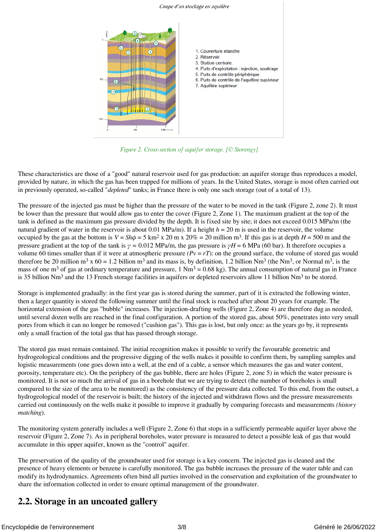

 *Figure 2. Cross-section of aquifer storage. [© Storengy]*

These characteristics are those of a "good" natural reservoir used for gas production: an aquifer storage thus reproduces a model, provided by nature, in which the gas has been trapped for millions of years. In the United States, storage is most often carried out in previously operated, so-called "*depleted*" tanks; in France there is only one such storage (out of a total of 13).

The pressure of the injected gas must be higher than the pressure of the water to be moved in the tank (Figure 2, zone 2). It must be lower than the pressure that would allow gas to enter the cover (Figure 2, Zone 1). The maximum gradient at the top of the tank is defined as the maximum gas pressure divided by the depth. It is fixed site by site; it does not exceed 0.015 MPa/m (the natural gradient of water in the reservoir is about 0.01 MPa/m). If a height  $h = 20$  m is used in the reservoir, the volume occupied by the gas at the bottom is  $V = Sh\phi = 5 \text{ km}^2 \times 20 \text{ m} \times 20\% = 20 \text{ million m}^3$ . If this gas is at depth  $H = 500 \text{ m}$  and the pressure gradient at the top of the tank is  $\gamma = 0.012$  MPa/m, the gas pressure is  $\gamma H = 6$  MPa (60 bar). It therefore occupies a volume 60 times smaller than if it were at atmospheric pressure  $(Pv = rT)$ : on the ground surface, the volume of stored gas would therefore be 20 million m<sup>3</sup> x 60 = 1.2 billion m<sup>3</sup> and its mass is, by definition, 1.2 billion Nm<sup>3</sup> (the Nm<sup>3</sup>, or Normal m<sup>3</sup>, is the mass of one m<sup>3</sup> of gas at ordinary temperature and pressure,  $1 \text{ Nm}^3 = 0.68 \text{ kg}$ . The annual consumption of natural gas in France is 35 billion Nm<sup>3</sup> and the 13 French storage facilities in aquifers or depleted reservoirs allow 11 billion Nm<sup>3</sup> to be stored.

Storage is implemented gradually: in the first year gas is stored during the summer, part of it is extracted the following winter, then a larger quantity is stored the following summer until the final stock is reached after about 20 years for example. The horizontal extension of the gas "bubble" increases. The injection-drafting wells (Figure 2, Zone 4) are therefore dug as needed, until several dozen wells are reached in the final configuration. A portion of the stored gas, about 50%, penetrates into very small pores from which it can no longer be removed ("cushion gas"). This gas is lost, but only once: as the years go by, it represents only a small fraction of the total gas that has passed through storage.

The stored gas must remain contained. The initial recognition makes it possible to verify the favourable geometric and hydrogeological conditions and the progressive digging of the wells makes it possible to confirm them, by sampling samples and logistic measurements (one goes down into a well, at the end of a cable, a sensor which measures the gas and water content, porosity, temperature etc). On the periphery of the gas bubble, there are holes (Figure 2, zone 5) in which the water pressure is monitored. It is not so much the arrival of gas in a borehole that we are trying to detect (the number of boreholes is small compared to the size of the area to be monitored) as the consistency of the pressure data collected. To this end, from the outset, a hydrogeological model of the reservoir is built; the history of the injected and withdrawn flows and the pressure measurements carried out continuously on the wells make it possible to improve it gradually by comparing forecasts and measurements *(history matching*).

The monitoring system generally includes a well (Figure 2, Zone 6) that stops in a sufficiently permeable aquifer layer above the reservoir (Figure 2, Zone 7). As in peripheral boreholes, water pressure is measured to detect a possible leak of gas that would accumulate in this upper aquifer, known as the "control" aquifer.

The preservation of the quality of the groundwater used for storage is a key concern. The injected gas is cleaned and the presence of heavy elements or benzene is carefully monitored. The gas bubble increases the pressure of the water table and can modify its hydrodynamics. Agreements often bind all parties involved in the conservation and exploitation of the groundwater to share the information collected in order to ensure optimal management of the groundwater.

#### **2.2. Storage in an uncoated gallery**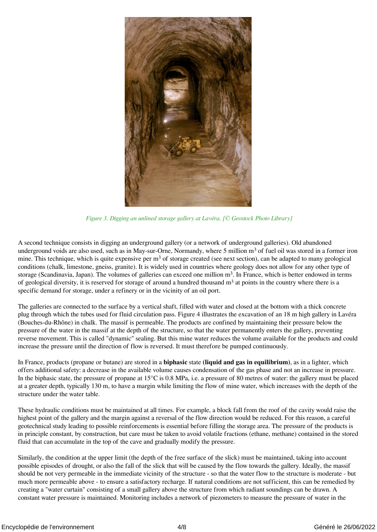

 *Figure 3. Digging an unlined storage gallery at Lavéra. [© Geostock Photo Library]*

A second technique consists in digging an underground gallery (or a network of underground galleries). Old abandoned underground voids are also used, such as in May-sur-Orne, Normandy, where 5 million m<sup>3</sup> of fuel oil was stored in a former iron mine. This technique, which is quite expensive per m<sup>3</sup> of storage created (see next section), can be adapted to many geological conditions (chalk, limestone, gneiss, granite). It is widely used in countries where geology does not allow for any other type of storage (Scandinavia, Japan). The volumes of galleries can exceed one million  $m<sup>3</sup>$ . In France, which is better endowed in terms of geological diversity, it is reserved for storage of around a hundred thousand  $m<sup>3</sup>$  at points in the country where there is a specific demand for storage, under a refinery or in the vicinity of an oil port.

The galleries are connected to the surface by a vertical shaft, filled with water and closed at the bottom with a thick concrete plug through which the tubes used for fluid circulation pass. Figure 4 illustrates the excavation of an 18 m high gallery in Lavéra (Bouches-du-Rhône) in chalk. The massif is permeable. The products are confined by maintaining their pressure below the pressure of the water in the massif at the depth of the structure, so that the water permanently enters the gallery, preventing reverse movement. This is called "dynamic" sealing. But this mine water reduces the volume available for the products and could increase the pressure until the direction of flow is reversed. It must therefore be pumped continuously.

In France, products (propane or butane) are stored in a **biphasic** state **(liquid and gas in equilibrium)**, as in a lighter, which offers additional safety: a decrease in the available volume causes condensation of the gas phase and not an increase in pressure. In the biphasic state, the pressure of propane at 15°C is 0.8 MPa, i.e. a pressure of 80 metres of water: the gallery must be placed at a greater depth, typically 130 m, to have a margin while limiting the flow of mine water, which increases with the depth of the structure under the water table.

These hydraulic conditions must be maintained at all times. For example, a block fall from the roof of the cavity would raise the highest point of the gallery and the margin against a reversal of the flow direction would be reduced. For this reason, a careful geotechnical study leading to possible reinforcements is essential before filling the storage area. The pressure of the products is in principle constant, by construction, but care must be taken to avoid volatile fractions (ethane, methane) contained in the stored fluid that can accumulate in the top of the cave and gradually modify the pressure.

Similarly, the condition at the upper limit (the depth of the free surface of the slick) must be maintained, taking into account possible episodes of drought, or also the fall of the slick that will be caused by the flow towards the gallery. Ideally, the massif should be not very permeable in the immediate vicinity of the structure - so that the water flow to the structure is moderate - but much more permeable above - to ensure a satisfactory recharge. If natural conditions are not sufficient, this can be remedied by creating a "water curtain" consisting of a small gallery above the structure from which radiant soundings can be drawn. A constant water pressure is maintained. Monitoring includes a network of piezometers to measure the pressure of water in the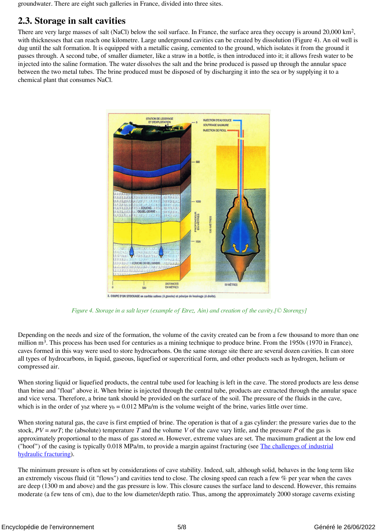groundwater. There are eight such galleries in France, divided into three sites.

#### **2.3. Storage in salt cavities**

There are very large masses of salt (NaCl) below the soil surface. In France, the surface area they occupy is around 20,000 km2, with thicknesses that can reach one kilometre. Large underground cavities can be created by dissolution (Figure 4). An oil well is dug until the salt formation. It is equipped with a metallic casing, cemented to the ground, which isolates it from the ground it passes through. A second tube, of smaller diameter, like a straw in a bottle, is then introduced into it; it allows fresh water to be injected into the saline formation. The water dissolves the salt and the brine produced is passed up through the annular space between the two metal tubes. The brine produced must be disposed of by discharging it into the sea or by supplying it to a chemical plant that consumes NaCl.



 *Figure 4. Storage in a salt layer (example of Etrez, Ain) and creation of the cavity.[© Storengy]*

Depending on the needs and size of the formation, the volume of the cavity created can be from a few thousand to more than one million m<sup>3</sup>. This process has been used for centuries as a mining technique to produce brine. From the 1950s (1970 in France), caves formed in this way were used to store hydrocarbons. On the same storage site there are several dozen cavities. It can store all types of hydrocarbons, in liquid, gaseous, liquefied or supercritical form, and other products such as hydrogen, helium or compressed air.

When storing liquid or liquefied products, the central tube used for leaching is left in the cave. The stored products are less dense than brine and "float" above it. When brine is injected through the central tube, products are extracted through the annular space and vice versa. Therefore, a brine tank should be provided on the surface of the soil. The pressure of the fluids in the cave, which is in the order of  $y<sub>b</sub>z$  where  $y<sub>b</sub> = 0.012$  MPa/m is the volume weight of the brine, varies little over time.

When storing natural gas, the cave is first emptied of brine. The operation is that of a gas cylinder: the pressure varies due to the stock,  $PV = mrT$ ; the (absolute) temperature T and the volume V of the cave vary little, and the pressure P of the gas is approximately proportional to the mass of gas stored *m*. However, extreme values are set. The maximum gradient at the low end ("hoof") of the casing is typically 0.018 MPa/m, to provide a margin against fracturing (see [The challenges of industrial](https://www.encyclopedie-environnement.org/en/soil/the-challenges-of-industrial-hydraulic-fracturing/) [hydraulic fracturing](https://www.encyclopedie-environnement.org/en/soil/the-challenges-of-industrial-hydraulic-fracturing/)).

The minimum pressure is often set by considerations of cave stability. Indeed, salt, although solid, behaves in the long term like an extremely viscous fluid (it "flows") and cavities tend to close. The closing speed can reach a few % per year when the caves are deep (1300 m and above) and the gas pressure is low. This closure causes the surface land to descend. However, this remains moderate (a few tens of cm), due to the low diameter/depth ratio. Thus, among the approximately 2000 storage caverns existing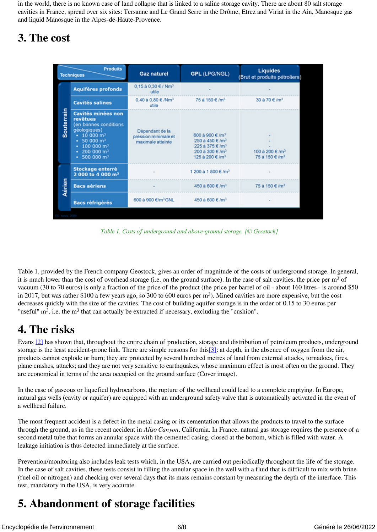in the world, there is no known case of land collapse that is linked to a saline storage cavity. There are about 80 salt storage cavities in France, spread over six sites: Tersanne and Le Grand Serre in the Drôme, Etrez and Viriat in the Ain, Manosque gas and liquid Manosque in the Alpes-de-Haute-Provence.

### **3. The cost**

| <b>Produits</b><br><b>Techniques</b> |                                                                                                                                                                                                                                                        | <b>Gaz naturel</b>                                           | <b>GPL (LPG/NGL)</b>                                                                                                                               | <b>Liquides</b><br>Brut et produits pétroliers)         |
|--------------------------------------|--------------------------------------------------------------------------------------------------------------------------------------------------------------------------------------------------------------------------------------------------------|--------------------------------------------------------------|----------------------------------------------------------------------------------------------------------------------------------------------------|---------------------------------------------------------|
| Souterrain                           | <b>Aquifères profonds</b>                                                                                                                                                                                                                              | 0,15 à 0,30 € / Nm <sup>3</sup><br>utile                     |                                                                                                                                                    |                                                         |
|                                      | <b>Cavités salines</b>                                                                                                                                                                                                                                 | 0,40 à 0,80 € /Nm <sup>3</sup><br>utile                      | 75 à 150 €/m <sup>3</sup>                                                                                                                          | 30 à 70 €/m <sup>3</sup>                                |
|                                      | <b>Cavités minées non</b><br>revêtues<br>(en bonnes conditions<br>géologiques)<br>$\cdot$ 10 000 m <sup>3</sup><br>$\cdot$ 50 000 m <sup>3</sup><br>$\cdot$ 100 000 m <sup>3</sup><br>$\cdot$ 200 000 m <sup>3</sup><br>$\cdot$ 500 000 m <sup>3</sup> | Dépendant de la<br>pression minimale et<br>maximale atteinte | 600 à 900 €/m <sup>3</sup><br>250 à 450 €/m <sup>3</sup><br>225 à 375 €/m <sup>3</sup><br>200 à 300 €/m <sup>3</sup><br>125 à 200 €/m <sup>3</sup> | 100 à 200 €/m <sup>3</sup><br>75 à 150 €/m <sup>3</sup> |
| Aérien                               | <b>Stockage enterré</b><br>2 000 to 4 000 m <sup>3</sup>                                                                                                                                                                                               |                                                              | 1 200 à 1 800 €/m <sup>3</sup>                                                                                                                     |                                                         |
|                                      | <b>Bacs aériens</b>                                                                                                                                                                                                                                    |                                                              | 450 à 600 €/m <sup>3</sup>                                                                                                                         | 75 à 150 €/m <sup>3</sup>                               |
|                                      | <b>Bacs réfrigérés</b>                                                                                                                                                                                                                                 | 600 à 900 €/m <sup>3</sup> GNL                               | 450 à 600 €/m <sup>3</sup>                                                                                                                         |                                                         |
|                                      |                                                                                                                                                                                                                                                        |                                                              |                                                                                                                                                    |                                                         |

 *Table 1. Costs of underground and above-ground storage. [© Geostock]*

Table 1, provided by the French company Geostock, gives an order of magnitude of the costs of underground storage. In general, it is much lower than the cost of overhead storage (i.e. on the ground surface). In the case of salt cavities, the price per m<sup>3</sup> of vacuum (30 to 70 euros) is only a fraction of the price of the product (the price per barrel of oil - about 160 litres - is around \$50 in 2017, but was rather \$100 a few years ago, so 300 to 600 euros per  $m<sup>3</sup>$ ). Mined cavities are more expensive, but the cost decreases quickly with the size of the cavities. The cost of building aquifer storage is in the order of 0.15 to 30 euros per "useful"  $m<sup>3</sup>$ , i.e. the  $m<sup>3</sup>$  that can actually be extracted if necessary, excluding the "cushion".

## **4. The risks**

<span id="page-5-1"></span><span id="page-5-0"></span>Evans [\[2\]](#page-7-1) has shown that, throughout the entire chain of production, storage and distribution of petroleum products, underground storage is the least accident-prone link. There are simple reasons for this<sup>[3]</sup>: at depth, in the absence of oxygen from the air, products cannot explode or burn; they are protected by several hundred metres of land from external attacks, tornadoes, fires, plane crashes, attacks; and they are not very sensitive to earthquakes, whose maximum effect is most often on the ground. They are economical in terms of the area occupied on the ground surface (Cover image).

In the case of gaseous or liquefied hydrocarbons, the rupture of the wellhead could lead to a complete emptying. In Europe, natural gas wells (cavity or aquifer) are equipped with an underground safety valve that is automatically activated in the event of a wellhead failure.

The most frequent accident is a defect in the metal casing or its cementation that allows the products to travel to the surface through the ground, as in the recent accident in *Aliso Canyon*, California. In France, natural gas storage requires the presence of a second metal tube that forms an annular space with the cemented casing, closed at the bottom, which is filled with water. A leakage initiation is thus detected immediately at the surface.

Prevention/monitoring also includes leak tests which, in the USA, are carried out periodically throughout the life of the storage. In the case of salt cavities, these tests consist in filling the annular space in the well with a fluid that is difficult to mix with brine (fuel oil or nitrogen) and checking over several days that its mass remains constant by measuring the depth of the interface. This test, mandatory in the USA, is very accurate.

# **5. Abandonment of storage facilities**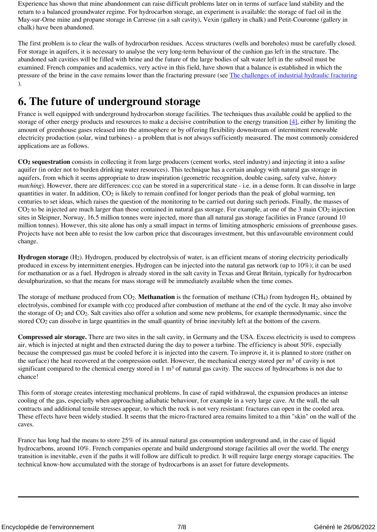Experience has shown that mine abandonment can raise difficult problems later on in terms of surface land stability and the return to a balanced groundwater regime. For hydrocarbon storage, an experiment is available: the storage of fuel oil in the May-sur-Orne mine and propane storage in Carresse (in a salt cavity), Vexin (gallery in chalk) and Petit-Couronne (gallery in chalk) have been abandoned.

The first problem is to clear the walls of hydrocarbon residues. Access structures (wells and boreholes) must be carefully closed. For storage in aquifers, it is necessary to analyse the very long-term behaviour of the cushion gas left in the structure. The abandoned salt cavities will be filled with brine and the future of the large bodies of salt water left in the subsoil must be examined. French companies and academics, very active in this field, have shown that a balance is established in which the pressure of the brine in the cave remains lower than the fracturing pressure (see [The challenges of industrial hydraulic fracturing](https://www.encyclopedie-environnement.org/en/soil/the-challenges-of-industrial-hydraulic-fracturing/) ).

## **6. The future of underground storage**

<span id="page-6-0"></span>France is well equipped with underground hydrocarbon storage facilities. The techniques thus available could be applied to the storage of other energy products and resources to make a decisive contribution to the energy transition  $[4]$ , either by limiting the amount of greenhouse gases released into the atmosphere or by offering flexibility downstream of intermittent renewable electricity production (solar, wind turbines) - a problem that is not always sufficiently measured. The most commonly considered applications are as follows.

**CO2 sequestration** consists in collecting it from large producers (cement works, steel industry) and injecting it into a *saline* aquifer (in order not to burden drinking water resources). This technique has a certain analogy with natural gas storage in aquifers, from which it seems appropriate to draw inspiration (geometric recognition, double casing, safety valve, *history matching*). However, there are differences: co<sub>2</sub> can be stored in a supercritical state - i.e. in a dense form. It can dissolve in large quantities in water. In addition,  $CO<sub>2</sub>$  is likely to remain confined for longer periods than the peak of global warming, ten centuries to set ideas, which raises the question of the monitoring to be carried out during such periods. Finally, the masses of CO<sub>2</sub> to be injected are much larger than those contained in natural gas storage. For example, at one of the 3 main CO<sub>2</sub> injection sites in Sleipner, Norway, 16.5 million tonnes were injected, more than all natural gas storage facilities in France (around 10 million tonnes). However, this site alone has only a small impact in terms of limiting atmospheric emissions of greenhouse gases. Projects have not been able to resist the low carbon price that discourages investment, but this unfavourable environment could change.

**Hydrogen storage** (H2). Hydrogen, produced by electrolysis of water, is an efficient means of storing electricity periodically produced in excess by intermittent energies. Hydrogen can be injected into the natural gas network (up to 10%); it can be used for methanation or as a fuel. Hydrogen is already stored in the salt cavity in Texas and Great Britain, typically for hydrocarbon desulphurization, so that the means for mass storage will be immediately available when the time comes.

The storage of methane produced from CO<sub>2</sub>. **Methanation** is the formation of methane (CH<sub>4</sub>) from hydrogen H<sub>2</sub>, obtained by electrolysis, combined for example with CO2 produced after combustion of methane at the end of the cycle. It may also involve the storage of O2 and CO2. Salt cavities also offer a solution and some new problems, for example thermodynamic, since the stored CO<sub>2</sub> can dissolve in large quantities in the small quantity of brine inevitably left at the bottom of the cavern.

**Compressed air storage.** There are two sites in the salt cavity, in Germany and the USA. Excess electricity is used to compress air, which is injected at night and then extracted during the day to power a turbine. The efficiency is about 50%, especially because the compressed gas must be cooled before it is injected into the cavern. To improve it, it is planned to store (rather on the surface) the heat recovered at the compression outlet. However, the mechanical energy stored per  $m<sup>3</sup>$  of cavity is not significant compared to the chemical energy stored in  $1 \text{ m}^3$  of natural gas cavity. The success of hydrocarbons is not due to chance!

This form of storage creates interesting mechanical problems. In case of rapid withdrawal, the expansion produces an intense cooling of the gas, especially when approaching adiabatic behaviour, for example in a very large cave. At the wall, the salt contracts and additional tensile stresses appear, to which the rock is not very resistant: fractures can open in the cooled area. These effects have been widely studied. It seems that the micro-fractured area remains limited to a thin "skin" on the wall of the caves.

France has long had the means to store 25% of its annual natural gas consumption underground and, in the case of liquid hydrocarbons, around 10%. French companies operate and build underground storage facilities all over the world. The energy transition is inevitable, even if the paths it will follow are difficult to predict. It will require large energy storage capacities. The technical know-how accumulated with the storage of hydrocarbons is an asset for future developments.